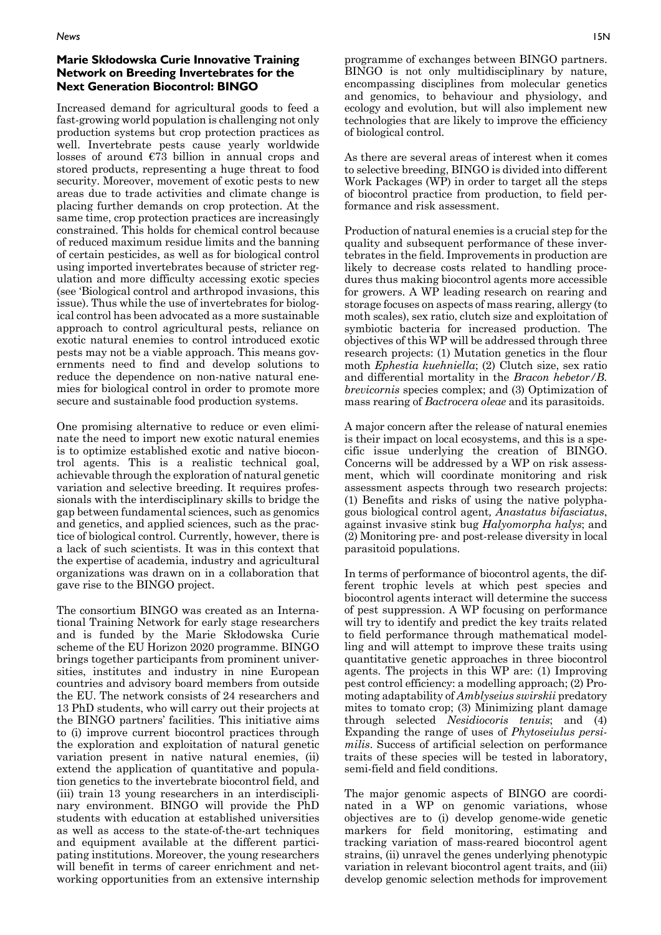## **Marie Skłodowska Curie Innovative Training Network on Breeding Invertebrates for the Next Generation Biocontrol: BINGO**

Increased demand for agricultural goods to feed a fast-growing world population is challenging not only production systems but crop protection practices as well. Invertebrate pests cause yearly worldwide losses of around €73 billion in annual crops and stored products, representing a huge threat to food security. Moreover, movement of exotic pests to new areas due to trade activities and climate change is placing further demands on crop protection. At the same time, crop protection practices are increasingly constrained. This holds for chemical control because of reduced maximum residue limits and the banning of certain pesticides, as well as for biological control using imported invertebrates because of stricter regulation and more difficulty accessing exotic species (see 'Biological control and arthropod invasions, this issue). Thus while the use of invertebrates for biological control has been advocated as a more sustainable approach to control agricultural pests, reliance on exotic natural enemies to control introduced exotic pests may not be a viable approach. This means governments need to find and develop solutions to reduce the dependence on non-native natural enemies for biological control in order to promote more secure and sustainable food production systems.

One promising alternative to reduce or even eliminate the need to import new exotic natural enemies is to optimize established exotic and native biocontrol agents. This is a realistic technical goal, achievable through the exploration of natural genetic variation and selective breeding. It requires professionals with the interdisciplinary skills to bridge the gap between fundamental sciences, such as genomics and genetics, and applied sciences, such as the practice of biological control. Currently, however, there is a lack of such scientists. It was in this context that the expertise of academia, industry and agricultural organizations was drawn on in a collaboration that gave rise to the BINGO project.

The consortium BINGO was created as an International Training Network for early stage researchers and is funded by the Marie Skłodowska Curie scheme of the EU Horizon 2020 programme. BINGO brings together participants from prominent universities, institutes and industry in nine European countries and advisory board members from outside the EU. The network consists of 24 researchers and 13 PhD students, who will carry out their projects at the BINGO partners' facilities. This initiative aims to (i) improve current biocontrol practices through the exploration and exploitation of natural genetic variation present in native natural enemies, (ii) extend the application of quantitative and population genetics to the invertebrate biocontrol field, and (iii) train 13 young researchers in an interdisciplinary environment. BINGO will provide the PhD students with education at established universities as well as access to the state-of-the-art techniques and equipment available at the different participating institutions. Moreover, the young researchers will benefit in terms of career enrichment and networking opportunities from an extensive internship

As there are several areas of interest when it comes to selective breeding, BINGO is divided into different Work Packages (WP) in order to target all the steps of biocontrol practice from production, to field performance and risk assessment.

Production of natural enemies is a crucial step for the quality and subsequent performance of these invertebrates in the field. Improvements in production are likely to decrease costs related to handling procedures thus making biocontrol agents more accessible for growers. A WP leading research on rearing and storage focuses on aspects of mass rearing, allergy (to moth scales), sex ratio, clutch size and exploitation of symbiotic bacteria for increased production. The objectives of this WP will be addressed through three research projects: (1) Mutation genetics in the flour moth *Ephestia kuehniella*; (2) Clutch size, sex ratio and differential mortality in the *Bracon hebetor/B. brevicornis* species complex; and (3) Optimization of mass rearing of *Bactrocera oleae* and its parasitoids.

A major concern after the release of natural enemies is their impact on local ecosystems, and this is a specific issue underlying the creation of BINGO. Concerns will be addressed by a WP on risk assessment, which will coordinate monitoring and risk assessment aspects through two research projects: (1) Benefits and risks of using the native polyphagous biological control agent*, Anastatus bifasciatus*, against invasive stink bug *Halyomorpha halys*; and (2) Monitoring pre- and post-release diversity in local parasitoid populations.

In terms of performance of biocontrol agents, the different trophic levels at which pest species and biocontrol agents interact will determine the success of pest suppression. A WP focusing on performance will try to identify and predict the key traits related to field performance through mathematical modelling and will attempt to improve these traits using quantitative genetic approaches in three biocontrol agents. The projects in this WP are: (1) Improving pest control efficiency: a modelling approach; (2) Promoting adaptability of *Amblyseius swirskii* predatory mites to tomato crop; (3) Minimizing plant damage through selected *Nesidiocoris tenuis*; and (4) Expanding the range of uses of *Phytoseiulus persimilis*. Success of artificial selection on performance traits of these species will be tested in laboratory, semi-field and field conditions.

The major genomic aspects of BINGO are coordinated in a WP on genomic variations, whose objectives are to (i) develop genome-wide genetic markers for field monitoring, estimating and tracking variation of mass-reared biocontrol agent strains, (ii) unravel the genes underlying phenotypic variation in relevant biocontrol agent traits, and (iii) develop genomic selection methods for improvement